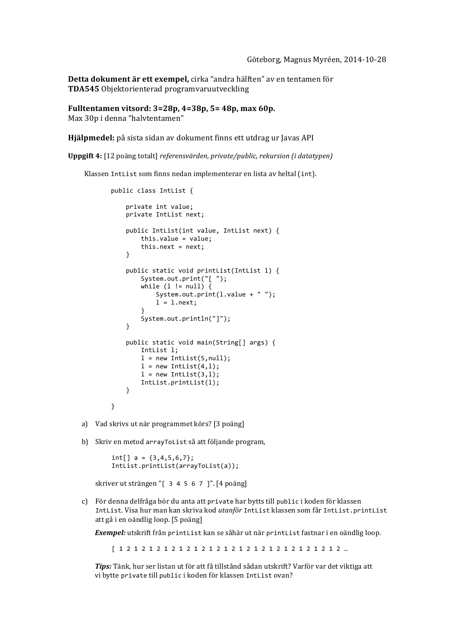Detta dokument är ett exempel, cirka "andra hälften" av en tentamen för **TDA545** Objektorienterad programvaruutveckling

**Fulltentamen vitsord: 3=28p, 4=38p, 5= 48p, max 60p.** Max 30p i denna "halvtentamen"

**Hjälpmedel:** på sista sidan av dokument finns ett utdrag ur Javas API

**Uppgift 4:** [12 poäng totalt] *referensvärden, private/public, rekursion (i datatypen)*

Klassen IntList som finns nedan implementerar en lista av heltal (int).

```
public class IntList {
    private int value;
    private IntList next;
    public IntList(int value, IntList next) {
        this.value = value;this.next = next;
    				}
    public static void printList(IntList 1) {
        System.out.print("[ ");
        while (1 != null) {
            System.out.print(l.value + "");
            l = l.next;								}
        								System.out.println("]");
    				}
    public static void main(String[] args) {
        IntList 1;
        l = new IntList(5, null);l = new IntList(4, l);l = new IntList(3,l);								IntList.printList(l);
    				}
}
```
a) Vad skrivs ut när programmet körs? [3 poäng]

b) Skriv en metod arrayToList så att följande program,

 $int[] a = {3,4,5,6,7};$  IntList.printList(arrayToList(a));

skriver ut strängen "[ 3 4 5 6 7 ]". [4 poäng]

c) För denna delfråga bör du anta att private har bytts till public i koden för klassen IntList. Visa hur man kan skriva kod *utanför* IntList klassen som får IntList.printList att gå i en oändlig loop. [5 poäng]

**Exempel:** utskrift från printList kan se såhär ut när printList fastnar i en oändlig loop.

 [ 1 2 1 2 1 2 1 2 1 2 1 2 1 2 1 2 1 2 1 2 1 2 1 2 1 2 1 2 1 2 …

Tips: Tänk, hur ser listan ut för att få tillstånd sådan utskrift? Varför var det viktiga att vi bytte private till public i koden för klassen IntList ovan?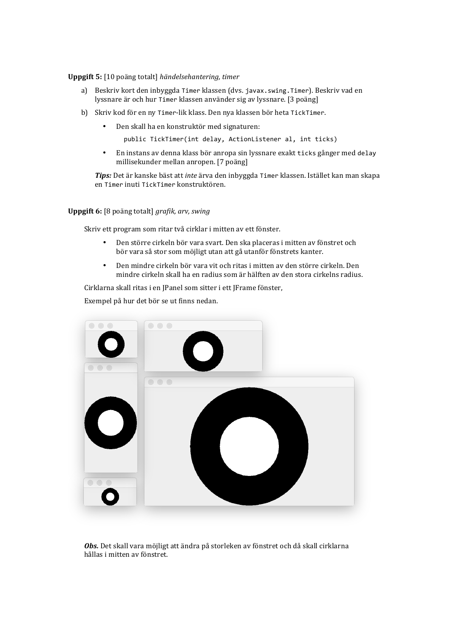**Uppgift 5:** [10 poäng totalt] *händelsehantering, timer*

- a) Beskriv kort den inbyggda Timer klassen (dvs. javax. swing. Timer). Beskriv vad en lyssnare är och hur Timer klassen använder sig av lyssnare. [3 poäng]
- b) Skriv kod för en ny Timer-lik klass. Den nya klassen bör heta TickTimer.
	- Den skall ha en konstruktör med signaturen:

public TickTimer(int delay, ActionListener al, int ticks)

• En instans av denna klass bör anropa sin lyssnare exakt ticks gånger med delay millisekunder mellan anropen. [7 poäng]

*Tips:* Det är kanske bäst att *inte* ärva den inbyggda Timer klassen. Istället kan man skapa en Timer inuti TickTimer konstruktören.

**Uppgift 6:** [8 poäng totalt] *grafik, arv, swing* 

Skriv ett program som ritar två cirklar i mitten av ett fönster.

- Den större cirkeln bör vara svart. Den ska placeras i mitten av fönstret och bör vara så stor som möjligt utan att gå utanför fönstrets kanter.
- Den mindre cirkeln bör vara vit och ritas i mitten av den större cirkeln. Den mindre cirkeln skall ha en radius som är hälften av den stora cirkelns radius.

Cirklarna skall ritas i en JPanel som sitter i ett JFrame fönster,

Exempel på hur det bör se ut finns nedan.



**Obs.** Det skall vara möjligt att ändra på storleken av fönstret och då skall cirklarna hållas i mitten av fönstret.